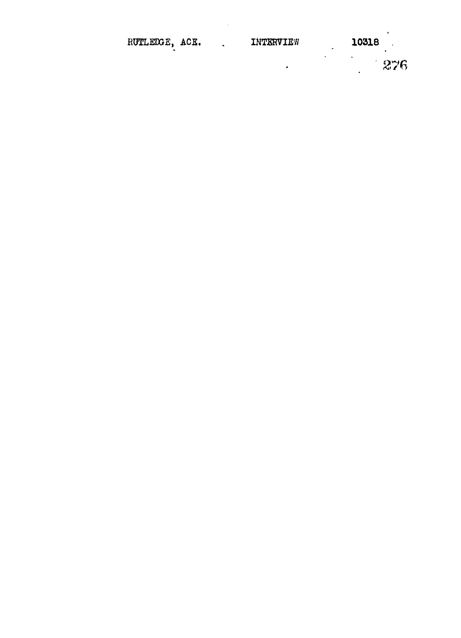| RUTLEDGE, ACE. |  | INTERVIEW | ٠ | 10318  | $\overline{\phantom{a}}$ |
|----------------|--|-----------|---|--------|--------------------------|
|                |  | ٠         |   | $\sim$ | 276                      |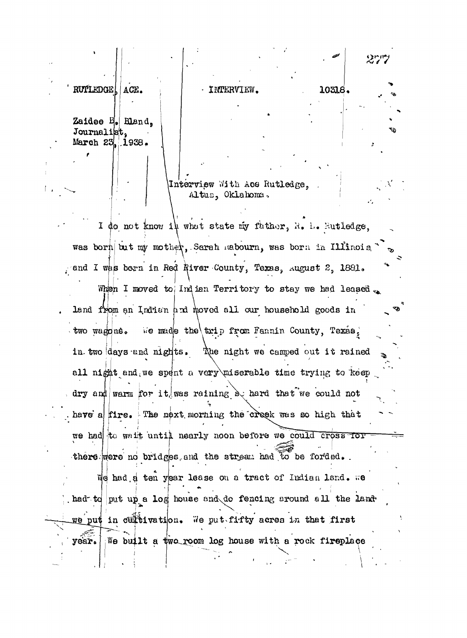RUTLEDGE! INTERVIEW. 10318. ACE. Zaidee  $B_{\bullet}$  Bland. Journalist, March 23. 1938. Interview With Ace Rutledge. Altus, Oklahoma. I do not know it what state my father, R. L. Butledge, was born but my mother, Sarah mabourn, was born in Illinois. eand I was been in Red River County, Texas, August 2, 1881. When I moved to Indian Territory to stay we had leased. land from an Indian and moved all our household goods in two wagons. We made the trip from Fannin County, Texas, in two days and nights. The night we camped out it rained all night and we spent a very miserable time trying to keep dry and warm for it was raining by hard that we could not . have a fire. The next morning the creek was so high that we had to wait until nearly noon before we could cross for there were no bridges, and the stream had to be forded. We had a ten year lease on a tract of Indian land. We had to put up a log house and do fencing around all the land we put in certivation. We put fifty acres in that first We built a two room log house with a rock fireplace year.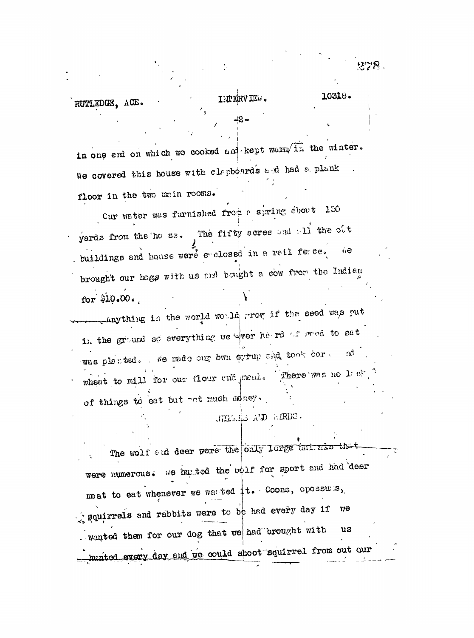10318.

## INTERVIEW.

in one end on which we cooked and kept want in the winter. We covered this house with clapboards and had a plank floor in the two main rooms.

RUTLEDGE. ACE.

Cur water was furnished from a spring about 130 yards from the ho se. The fifty acres and all the out buildings and house were evelosed in a rail ferce. We brought our hogs with us and bought a cow from the Indian for \$10.00.

Anything in the world would row if the seed was put in the ground so everything we war herd of gred to sat was planted. Se made our bwn syrup sid took cor. In wheat to mill for our flour rnd grant. There was no 1 ek. of things to eat but not much schey.

## SHEAD AND BRDG.

The wolf and deer were the only large mit als that were numerous. We hurted the wolf for sport and had deer meat to eat whenever we wanted it. Coons, opossums, gquirrels and rabbits were to be had every day if we . wanted them for our dog that we had brought with us hunted every day and we could shoot squirrel from out our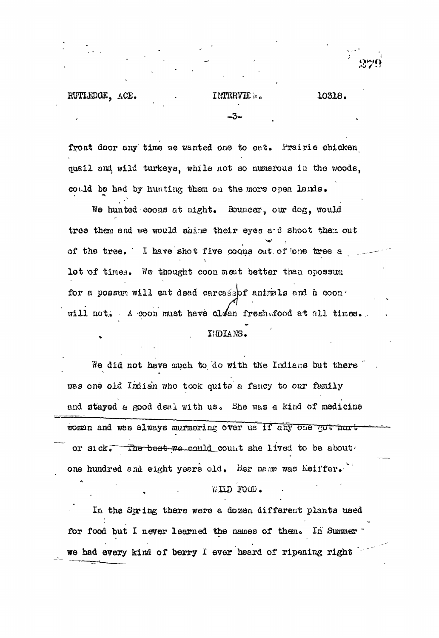- 3-

front door any time we wanted one to eat. Prairie chicken quail and wild turkeys, while not so numerous in the woods. could be had by hunting them on the more open lands.

We hunted coons at night. Bouncar, our dog, would tree them and we would shine their eyes and shoot them out of the tree. I have shot five coons out of one tree a lot of times. We thought coon meet better than opossum for a possum will eat dead carcassof animals and a coonwill not. A coon must have closn fresh food at all times.

INDIANS.

We did not have much to do with the Indians but there wes one old Indian who took quite a fancy to our family and stayed a good deal with us. She was a kind of medicine woman and was always murmering over us if any one got hurt or sick. The best we could count she lived to be about. one hundred and eight years old. Her name was Keiffer.

WILD FOOD.

In the Spring there were a dozen different plants used for food but I never learned the names of them. In Summer we had every kind of berry I ever heard of ripening right